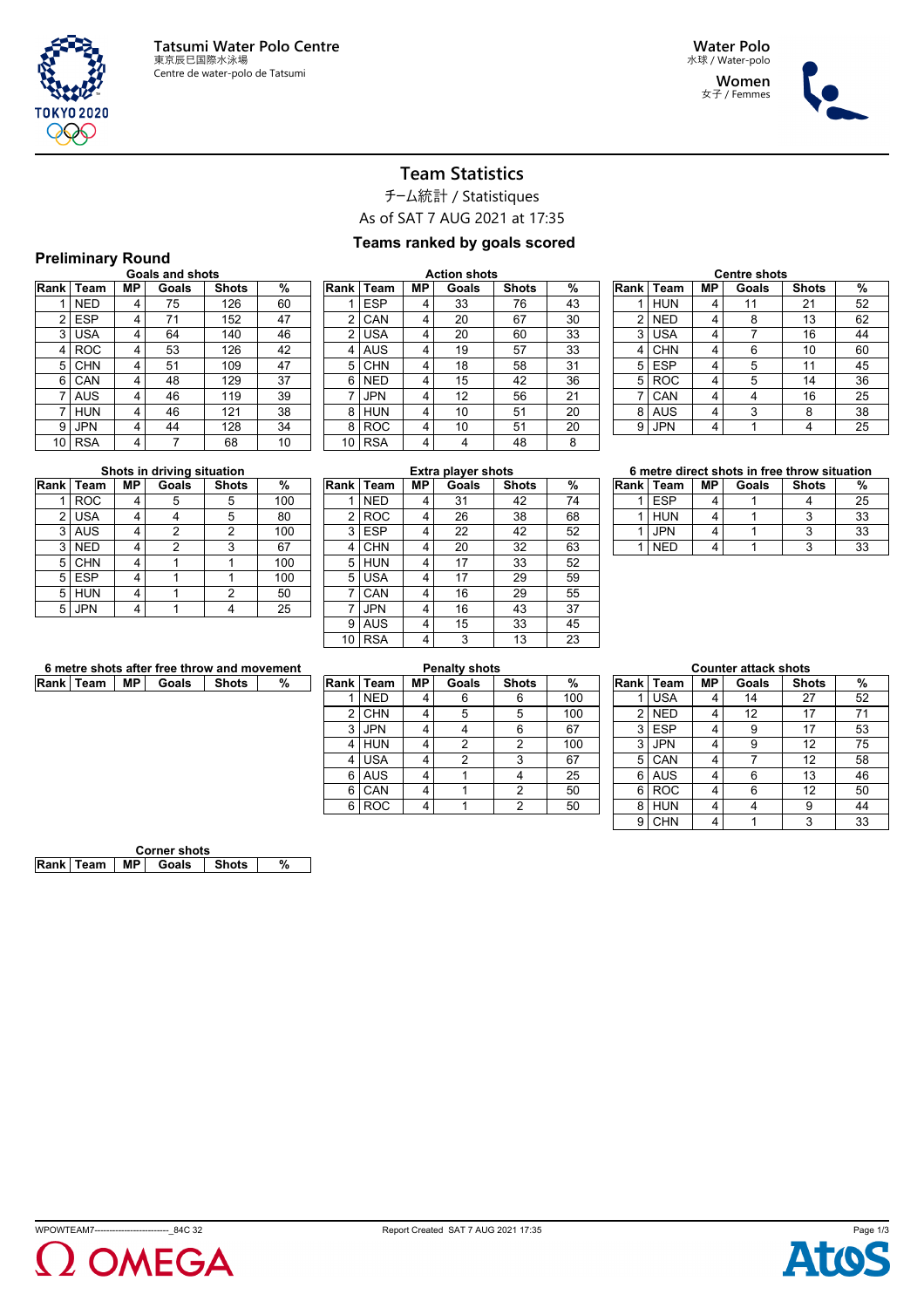

**Women** 女子 / Femmes



# **Team Statistics**

チーム統計 / Statistiques

As of SAT 7 AUG 2021 at 17:35

### **Teams ranked by goals scored**

#### **Preliminary Round**

| Rank | Team       | МP | Goals | <b>Shots</b> | %  |
|------|------------|----|-------|--------------|----|
| 1    | <b>NED</b> | 4  | 75    | 126          | 60 |
| 2    | <b>ESP</b> | 4  | 71    | 152          | 47 |
| 3    | <b>USA</b> | 4  | 64    | 140          | 46 |
| 4    | <b>ROC</b> | 4  | 53    | 126          | 42 |
| 5    | <b>CHN</b> | 4  | 51    | 109          | 47 |
| 6    | CAN        | 4  | 48    | 129          | 37 |
| 7    | <b>AUS</b> | 4  | 46    | 119          | 39 |
| 7    | <b>HUN</b> | 4  | 46    | 121          | 38 |
| 9    | <b>JPN</b> | 4  | 44    | 128          | 34 |
| 10   | <b>RSA</b> | 4  | 7     | 68           | 10 |

| <b>Action shots</b> |            |    |       |              |    |  |  |  |
|---------------------|------------|----|-------|--------------|----|--|--|--|
| Rank                | Team       | МP | Goals | <b>Shots</b> | %  |  |  |  |
| 1                   | <b>ESP</b> | 4  | 33    | 76           | 43 |  |  |  |
| 2                   | CAN        | 4  | 20    | 67           | 30 |  |  |  |
| 2                   | USA        | 4  | 20    | 60           | 33 |  |  |  |
| 4                   | AUS        | 4  | 19    | 57           | 33 |  |  |  |
| 5                   | <b>CHN</b> | 4  | 18    | 58           | 31 |  |  |  |
| 6                   | <b>NED</b> | 4  | 15    | 42           | 36 |  |  |  |
| $\overline{7}$      | <b>JPN</b> | 4  | 12    | 56           | 21 |  |  |  |
| 8                   | <b>HUN</b> | 4  | 10    | 51           | 20 |  |  |  |
| 8                   | <b>ROC</b> | 4  | 10    | 51           | 20 |  |  |  |
| 10                  | <b>RSA</b> | 4  | 4     | 48           | 8  |  |  |  |
|                     |            |    |       |              |    |  |  |  |

| Rank | Team       | МP | Goals | <b>Shots</b> | %  |
|------|------------|----|-------|--------------|----|
|      | <b>HUN</b> | 4  | 11    | 21           | 52 |
| 2    | <b>NED</b> | 4  | 8     | 13           | 62 |
| 3    | <b>USA</b> | 4  | 7     | 16           | 44 |
| 4    | <b>CHN</b> | 4  | 6     | 10           | 60 |
| 5    | <b>ESP</b> | 4  | 5     | 11           | 45 |
| 5    | <b>ROC</b> | 4  | 5     | 14           | 36 |
| 7    | CAN        | 4  | 4     | 16           | 25 |
| 8    | <b>AUS</b> | 4  | 3     | 8            | 38 |
| 9    | JPN        | 4  |       | 4            | 25 |

| Shots in driving situation |            |    |                |                |     |  |  |  |  |  |
|----------------------------|------------|----|----------------|----------------|-----|--|--|--|--|--|
|                            | Rank Team  | МP | Goals          | <b>Shots</b>   | %   |  |  |  |  |  |
|                            | <b>ROC</b> | 4  | 5              | 5              | 100 |  |  |  |  |  |
| 2                          | <b>USA</b> | 4  | 4              | 5              | 80  |  |  |  |  |  |
| 3                          | <b>AUS</b> | 4  | $\overline{2}$ | $\overline{2}$ | 100 |  |  |  |  |  |
| 3                          | <b>NED</b> | 4  | 2              | 3              | 67  |  |  |  |  |  |
| 5                          | <b>CHN</b> | 4  |                |                | 100 |  |  |  |  |  |
| 5                          | <b>ESP</b> | 4  |                |                | 100 |  |  |  |  |  |
| 5                          | <b>HUN</b> | 4  |                | 2              | 50  |  |  |  |  |  |
| 5                          | <b>JPN</b> | 4  |                |                | 25  |  |  |  |  |  |

| <b>Extra player shots</b> |            |    |       |              |    |  |  |  |  |
|---------------------------|------------|----|-------|--------------|----|--|--|--|--|
| Rank                      | Team       | МP | Goals | <b>Shots</b> | %  |  |  |  |  |
| 1                         | <b>NED</b> | 4  | 31    | 42           | 74 |  |  |  |  |
| 2                         | <b>ROC</b> | 4  | 26    | 38           | 68 |  |  |  |  |
| 3                         | <b>ESP</b> | 4  | 22    | 42           | 52 |  |  |  |  |
| 4                         | <b>CHN</b> | 4  | 20    | 32           | 63 |  |  |  |  |
| 5                         | <b>HUN</b> | 4  | 17    | 33           | 52 |  |  |  |  |
| 5                         | <b>USA</b> | 4  | 17    | 29           | 59 |  |  |  |  |
| 7                         | CAN        | 4  | 16    | 29           | 55 |  |  |  |  |
| 7                         | <b>JPN</b> | 4  | 16    | 43           | 37 |  |  |  |  |
| 9                         | AUS        | 4  | 15    | 33           | 45 |  |  |  |  |
| 10                        | <b>RSA</b> | 4  | 3     | 13           | 23 |  |  |  |  |
|                           |            |    |       |              |    |  |  |  |  |

|  |  | 6 metre direct shots in free throw situation |
|--|--|----------------------------------------------|
|  |  |                                              |

| Rank   Team | MР | Goals | <b>Shots</b> | %  |
|-------------|----|-------|--------------|----|
| <b>ESP</b>  |    |       |              | 25 |
| <b>HUN</b>  |    |       |              | 33 |
| <b>JPN</b>  |    |       |              | 33 |
| NFD         |    |       |              | 33 |

| 6 metre shots after free throw and movement |  |                                  |  |  |  |  |
|---------------------------------------------|--|----------------------------------|--|--|--|--|
|                                             |  | Rank   Team   MP   Goals   Shots |  |  |  |  |

| <b>Penalty shots</b> |            |    |       |              |     |  |  |  |  |
|----------------------|------------|----|-------|--------------|-----|--|--|--|--|
| <b>Rank</b>          | Team       | МP | Goals | <b>Shots</b> | %   |  |  |  |  |
|                      | <b>NED</b> | 4  | 6     | 6            | 100 |  |  |  |  |
| 2                    | <b>CHN</b> | 4  | 5     | 5            | 100 |  |  |  |  |
| 3                    | <b>JPN</b> | 4  | 4     | 6            | 67  |  |  |  |  |
| 4                    | <b>HUN</b> | 4  | 2     | 2            | 100 |  |  |  |  |
| 4                    | <b>USA</b> | 4  | 2     | 3            | 67  |  |  |  |  |
| 6                    | <b>AUS</b> | 4  |       |              | 25  |  |  |  |  |
| 6                    | CAN        | 4  |       | 2            | 50  |  |  |  |  |
| 6                    | ROC        | 4  |       | 2            | 50  |  |  |  |  |

| <b>Counter attack shots</b> |            |    |       |              |    |  |  |  |
|-----------------------------|------------|----|-------|--------------|----|--|--|--|
| lRank İ                     | Team       | MΡ | Goals | <b>Shots</b> | %  |  |  |  |
|                             | <b>USA</b> | 4  | 14    | 27           | 52 |  |  |  |
| 2                           | <b>NED</b> | 4  | 12    | 17           | 71 |  |  |  |
| 3                           | <b>ESP</b> | 4  | 9     | 17           | 53 |  |  |  |
| 3                           | <b>JPN</b> | 4  | 9     | 12           | 75 |  |  |  |
| 5                           | CAN        | 4  |       | 12           | 58 |  |  |  |
| 6                           | <b>AUS</b> | 4  | 6     | 13           | 46 |  |  |  |
| 6                           | <b>ROC</b> | 4  | 6     | 12           | 50 |  |  |  |
| 8                           | <b>HUN</b> | 4  |       | 9            | 44 |  |  |  |
| 9                           | <b>CHN</b> | 4  |       | 3            | 33 |  |  |  |

| <b>Corner shots</b> |                  |      |       |       |  |  |  |
|---------------------|------------------|------|-------|-------|--|--|--|
|                     | <b>Rank Team</b> | MP I | Goals | Shots |  |  |  |



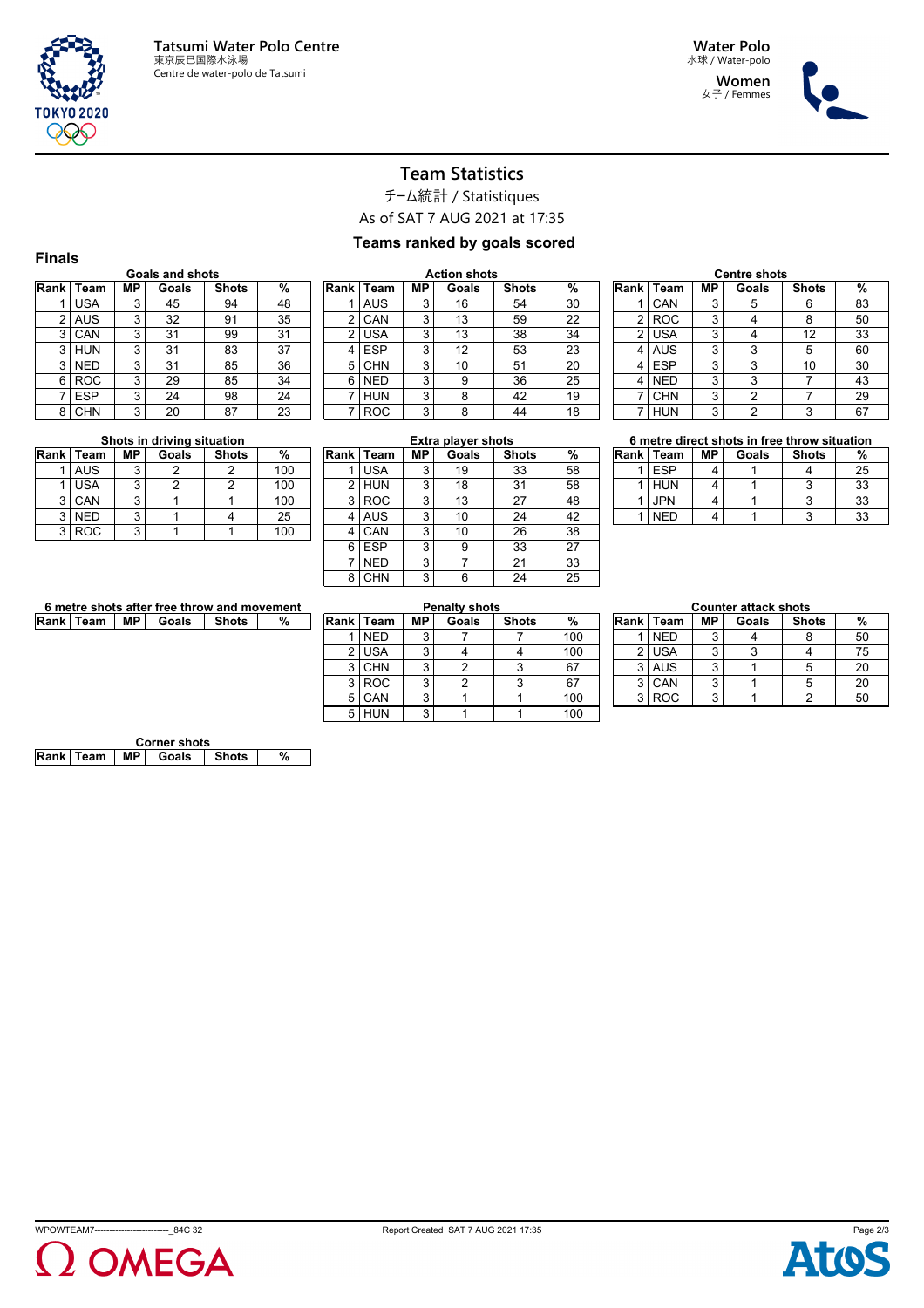

**Women** 女子 / Femmes



### **Team Statistics**

チーム統計 / Statistiques

As of SAT 7 AUG 2021 at 17:35

#### **Teams ranked by goals scored**

| <b>Finals</b> |                        |    |       |              |    |    |  |  |  |  |  |  |
|---------------|------------------------|----|-------|--------------|----|----|--|--|--|--|--|--|
|               | <b>Goals and shots</b> |    |       |              |    |    |  |  |  |  |  |  |
| Rank          | Team                   | МP | Goals | <b>Shots</b> | %  | Ra |  |  |  |  |  |  |
|               | <b>USA</b>             | 3  | 45    | 94           | 48 |    |  |  |  |  |  |  |
| 2             | <b>AUS</b>             | 3  | 32    | 91           | 35 |    |  |  |  |  |  |  |
| 3             | CAN                    | 3  | 31    | 99           | 31 |    |  |  |  |  |  |  |
| 3             | <b>HUN</b>             | 3  | 31    | 83           | 37 |    |  |  |  |  |  |  |
| 3             | <b>NED</b>             | 3  | 31    | 85           | 36 |    |  |  |  |  |  |  |
| 6             | <b>ROC</b>             | 3  | 29    | 85           | 34 |    |  |  |  |  |  |  |
| 7             | <b>ESP</b>             | 3  | 24    | 98           | 24 |    |  |  |  |  |  |  |
| 8             | CHN                    | 3  | 20    | 87           | 23 |    |  |  |  |  |  |  |

| <b>Action shots</b> |            |           |       |              |    |  |  |  |  |
|---------------------|------------|-----------|-------|--------------|----|--|--|--|--|
| Rank                | Team       | <b>MP</b> | Goals | <b>Shots</b> | %  |  |  |  |  |
|                     | <b>AUS</b> | 3         | 16    | 54           | 30 |  |  |  |  |
| 2                   | CAN        | 3         | 13    | 59           | 22 |  |  |  |  |
| 2                   | <b>USA</b> | 3         | 13    | 38           | 34 |  |  |  |  |
| 4                   | <b>ESP</b> | 3         | 12    | 53           | 23 |  |  |  |  |
| 5                   | <b>CHN</b> | 3         | 10    | 51           | 20 |  |  |  |  |
| 6                   | <b>NED</b> | 3         | 9     | 36           | 25 |  |  |  |  |
|                     | <b>HUN</b> | 3         | 8     | 42           | 19 |  |  |  |  |
|                     | ROC        | 3         | 8     | 44           | 18 |  |  |  |  |

| <b>Centre shots</b> |            |    |       |              |    |  |  |  |
|---------------------|------------|----|-------|--------------|----|--|--|--|
| Rank l              | Team       | МP | Goals | <b>Shots</b> | %  |  |  |  |
|                     | CAN        | 3  |       | 6            | 83 |  |  |  |
| 2                   | <b>ROC</b> | 3  |       | 8            | 50 |  |  |  |
| 2                   | <b>USA</b> | 3  |       | 12           | 33 |  |  |  |
| 4                   | <b>AUS</b> | 3  | 3     | 5            | 60 |  |  |  |
| 4                   | <b>ESP</b> | 3  | 3     | 10           | 30 |  |  |  |
| 4                   | <b>NED</b> | 3  | 3     |              | 43 |  |  |  |
|                     | <b>CHN</b> | 3  | 2     |              | 29 |  |  |  |
|                     | <b>HUN</b> | 3  |       | 3            | 67 |  |  |  |

#### **Shots in driving situation**

|   | Rank   Team | МP | Goals | <b>Shots</b> | %   |
|---|-------------|----|-------|--------------|-----|
|   | AUS         |    |       |              | 100 |
|   | <b>USA</b>  | 3  |       |              | 100 |
| 3 | CAN         |    |       |              | 100 |
| 3 | <b>NED</b>  | 3  |       |              | 25  |
| વ | <b>ROC</b>  |    |       |              | 100 |

| <b>Extra player shots</b> |            |           |       |              |    |  |  |  |  |
|---------------------------|------------|-----------|-------|--------------|----|--|--|--|--|
| <b>Rank</b>               | Team       | <b>MP</b> | Goals | <b>Shots</b> | %  |  |  |  |  |
|                           | <b>USA</b> | 3         | 19    | 33           | 58 |  |  |  |  |
| 2                         | <b>HUN</b> | 3         | 18    | 31           | 58 |  |  |  |  |
| 3                         | <b>ROC</b> | 3         | 13    | 27           | 48 |  |  |  |  |
| 4                         | <b>AUS</b> | 3         | 10    | 24           | 42 |  |  |  |  |
| 4                         | CAN        | 3         | 10    | 26           | 38 |  |  |  |  |
| 6                         | <b>ESP</b> | 3         | 9     | 33           | 27 |  |  |  |  |
|                           | <b>NED</b> | 3         |       | 21           | 33 |  |  |  |  |
| 8                         | CHN        | 3         | 6     | 24           | 25 |  |  |  |  |

| 6 metre direct shots in free throw situation |  |  |                                |  |   |  |  |  |
|----------------------------------------------|--|--|--------------------------------|--|---|--|--|--|
|                                              |  |  | Rank Team   MP   Goals   Shots |  | % |  |  |  |
|                                              |  |  |                                |  |   |  |  |  |

| <b>ESP</b> |  | 25 |
|------------|--|----|
| <b>HUN</b> |  | 33 |
| <b>JPN</b> |  | 33 |
| <b>NED</b> |  | 33 |

| 6 metre shots after free throw and movement |  |  |                          |         |   |  |  |
|---------------------------------------------|--|--|--------------------------|---------|---|--|--|
|                                             |  |  | Rank   Team   MP   Goals | ∣ Shots | % |  |  |

| <b>Penalty shots</b> |                    |    |       |              |     |  |  |  |  |
|----------------------|--------------------|----|-------|--------------|-----|--|--|--|--|
|                      | <b>Rank I Team</b> | MР | Goals | <b>Shots</b> | %   |  |  |  |  |
|                      | <b>NED</b>         | 3  |       |              | 100 |  |  |  |  |
| 2                    | <b>USA</b>         | 3  |       |              | 100 |  |  |  |  |
| 3                    | <b>CHN</b>         | 3  |       | 3            | 67  |  |  |  |  |
| 3                    | <b>ROC</b>         | 3  |       | 3            | 67  |  |  |  |  |
| 5                    | CAN                | 3  |       |              | 100 |  |  |  |  |
| 5                    | <b>HUN</b>         | 3  |       |              | 100 |  |  |  |  |

| <b>Counter attack shots</b> |             |           |       |              |    |  |  |  |
|-----------------------------|-------------|-----------|-------|--------------|----|--|--|--|
|                             | Rank   Team | <b>MP</b> | Goals | <b>Shots</b> | %  |  |  |  |
|                             | <b>NED</b>  | 3         |       |              | 50 |  |  |  |
|                             | $2$ USA     | 3         |       |              | 75 |  |  |  |
| 3                           | <b>AUS</b>  | 3         |       |              | 20 |  |  |  |
| 3                           | CAN         | 3         |       | 5            | 20 |  |  |  |
| 2                           | <b>ROC</b>  | 2         |       |              | 50 |  |  |  |

| <b>Corner shots</b>            |  |  |  |  |  |  |  |
|--------------------------------|--|--|--|--|--|--|--|
| Rank Team   MP   Goals   Shots |  |  |  |  |  |  |  |